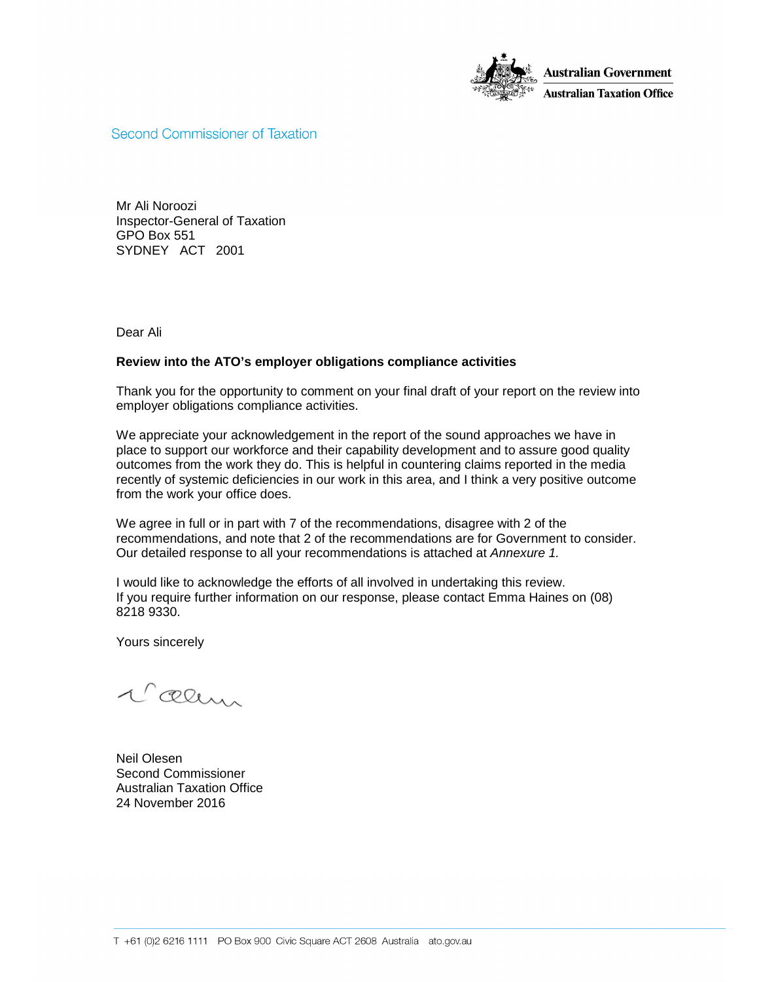

**Second Commissioner of Taxation** 

Mr Ali Noroozi Inspector-General of Taxation GPO Box 551 SYDNEY ACT 2001

Dear Ali

#### **Review into the ATO's employer obligations compliance activities**

Thank you for the opportunity to comment on your final draft of your report on the review into employer obligations compliance activities.

We appreciate your acknowledgement in the report of the sound approaches we have in place to support our workforce and their capability development and to assure good quality outcomes from the work they do. This is helpful in countering claims reported in the media recently of systemic deficiencies in our work in this area, and I think a very positive outcome from the work your office does.

We agree in full or in part with 7 of the recommendations, disagree with 2 of the recommendations, and note that 2 of the recommendations are for Government to consider. Our detailed response to all your recommendations is attached at Annexure 1.

I would like to acknowledge the efforts of all involved in undertaking this review. If you require further information on our response, please contact Emma Haines on (08) 8218 9330.

Yours sincerely

l'œum

Neil Olesen Second Commissioner Australian Taxation Office 24 November 2016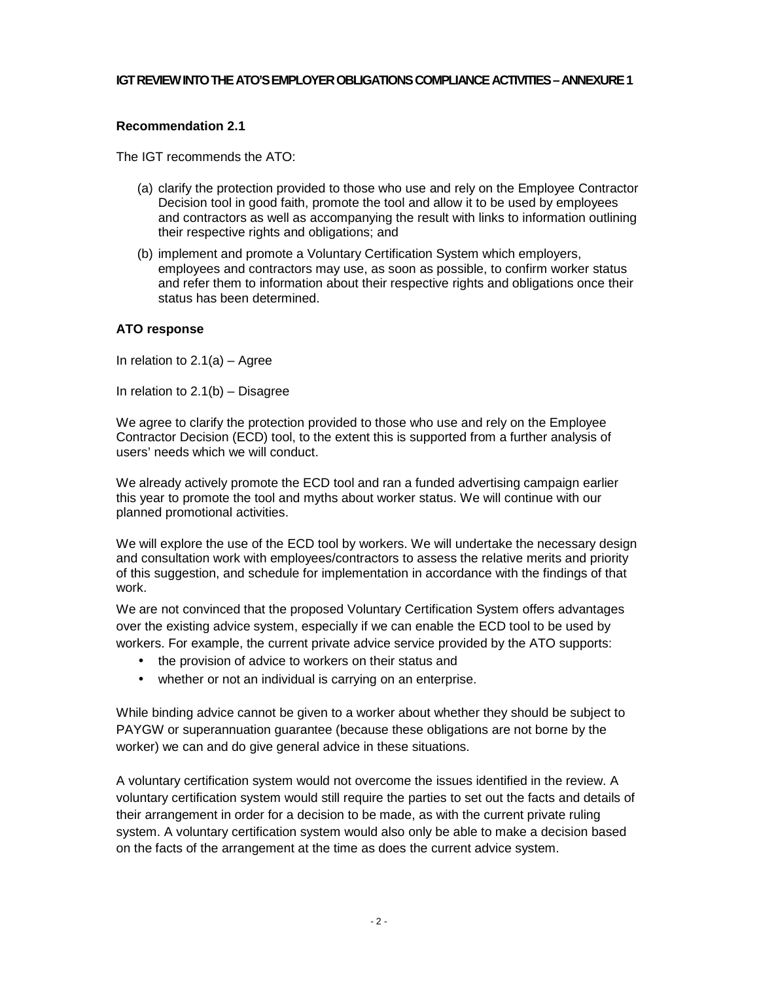#### **IGT REVIEW INTO THE ATO'S EMPLOYER OBLIGATIONS COMPLIANCE ACTIVITIES – ANNEXURE 1**

## **Recommendation 2.1**

The IGT recommends the ATO:

- (a) clarify the protection provided to those who use and rely on the Employee Contractor Decision tool in good faith, promote the tool and allow it to be used by employees and contractors as well as accompanying the result with links to information outlining their respective rights and obligations; and
- (b) implement and promote a Voluntary Certification System which employers, employees and contractors may use, as soon as possible, to confirm worker status and refer them to information about their respective rights and obligations once their status has been determined.

#### **ATO response**

In relation to 2.1(a) – Agree

In relation to  $2.1(b)$  – Disagree

We agree to clarify the protection provided to those who use and rely on the Employee Contractor Decision (ECD) tool, to the extent this is supported from a further analysis of users' needs which we will conduct.

We already actively promote the ECD tool and ran a funded advertising campaign earlier this year to promote the tool and myths about worker status. We will continue with our planned promotional activities.

We will explore the use of the ECD tool by workers. We will undertake the necessary design and consultation work with employees/contractors to assess the relative merits and priority of this suggestion, and schedule for implementation in accordance with the findings of that work.

We are not convinced that the proposed Voluntary Certification System offers advantages over the existing advice system, especially if we can enable the ECD tool to be used by workers. For example, the current private advice service provided by the ATO supports:

- the provision of advice to workers on their status and
- whether or not an individual is carrying on an enterprise.

While binding advice cannot be given to a worker about whether they should be subject to PAYGW or superannuation guarantee (because these obligations are not borne by the worker) we can and do give general advice in these situations.

A voluntary certification system would not overcome the issues identified in the review. A voluntary certification system would still require the parties to set out the facts and details of their arrangement in order for a decision to be made, as with the current private ruling system. A voluntary certification system would also only be able to make a decision based on the facts of the arrangement at the time as does the current advice system.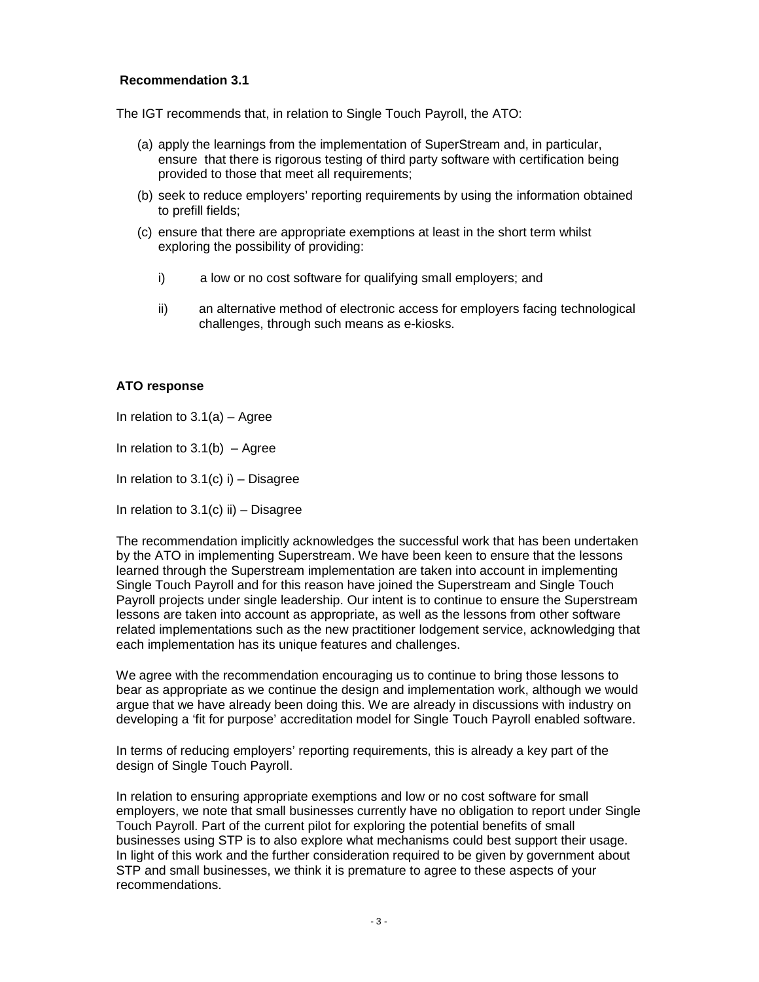The IGT recommends that, in relation to Single Touch Payroll, the ATO:

- (a) apply the learnings from the implementation of SuperStream and, in particular, ensure that there is rigorous testing of third party software with certification being provided to those that meet all requirements;
- (b) seek to reduce employers' reporting requirements by using the information obtained to prefill fields;
- (c) ensure that there are appropriate exemptions at least in the short term whilst exploring the possibility of providing:
	- i) a low or no cost software for qualifying small employers; and
	- ii) an alternative method of electronic access for employers facing technological challenges, through such means as e-kiosks.

## **ATO response**

In relation to  $3.1(a)$  – Agree

In relation to  $3.1(b)$  – Agree

In relation to  $3.1(c)$  i) – Disagree

In relation to  $3.1(c)$  ii) – Disagree

The recommendation implicitly acknowledges the successful work that has been undertaken by the ATO in implementing Superstream. We have been keen to ensure that the lessons learned through the Superstream implementation are taken into account in implementing Single Touch Payroll and for this reason have joined the Superstream and Single Touch Payroll projects under single leadership. Our intent is to continue to ensure the Superstream lessons are taken into account as appropriate, as well as the lessons from other software related implementations such as the new practitioner lodgement service, acknowledging that each implementation has its unique features and challenges.

We agree with the recommendation encouraging us to continue to bring those lessons to bear as appropriate as we continue the design and implementation work, although we would argue that we have already been doing this. We are already in discussions with industry on developing a 'fit for purpose' accreditation model for Single Touch Payroll enabled software.

In terms of reducing employers' reporting requirements, this is already a key part of the design of Single Touch Payroll.

In relation to ensuring appropriate exemptions and low or no cost software for small employers, we note that small businesses currently have no obligation to report under Single Touch Payroll. Part of the current pilot for exploring the potential benefits of small businesses using STP is to also explore what mechanisms could best support their usage. In light of this work and the further consideration required to be given by government about STP and small businesses, we think it is premature to agree to these aspects of your recommendations.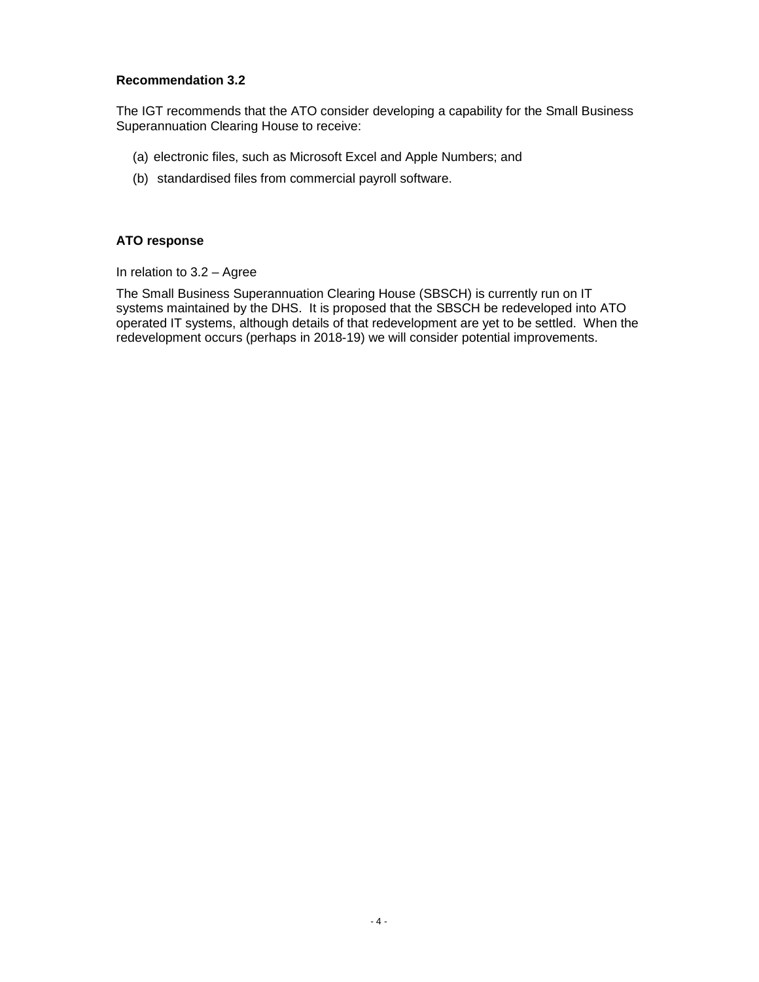The IGT recommends that the ATO consider developing a capability for the Small Business Superannuation Clearing House to receive:

- (a) electronic files, such as Microsoft Excel and Apple Numbers; and
- (b) standardised files from commercial payroll software.

# **ATO response**

In relation to 3.2 – Agree

The Small Business Superannuation Clearing House (SBSCH) is currently run on IT systems maintained by the DHS. It is proposed that the SBSCH be redeveloped into ATO operated IT systems, although details of that redevelopment are yet to be settled. When the redevelopment occurs (perhaps in 2018-19) we will consider potential improvements.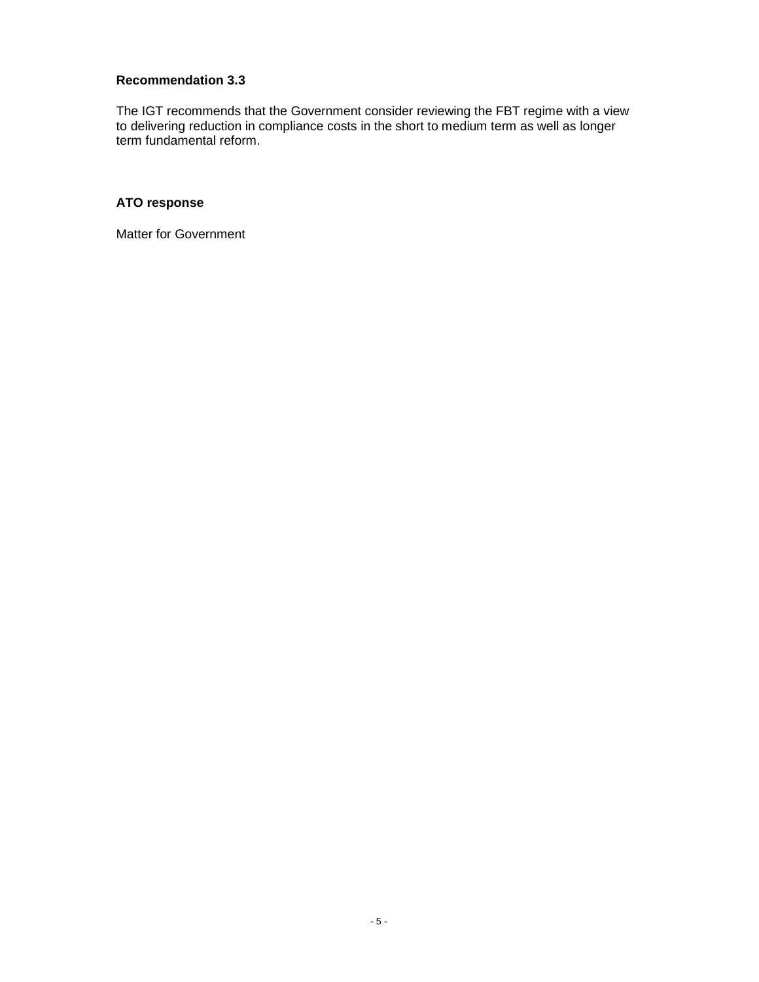The IGT recommends that the Government consider reviewing the FBT regime with a view to delivering reduction in compliance costs in the short to medium term as well as longer term fundamental reform.

# **ATO response**

Matter for Government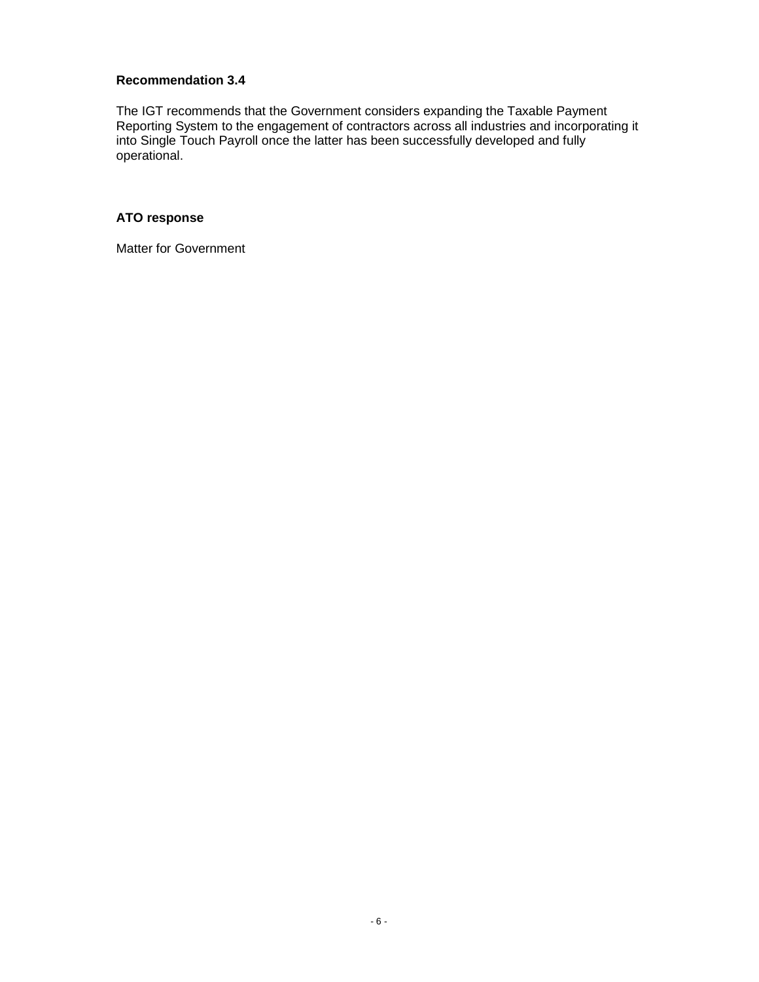The IGT recommends that the Government considers expanding the Taxable Payment Reporting System to the engagement of contractors across all industries and incorporating it into Single Touch Payroll once the latter has been successfully developed and fully operational.

## **ATO response**

Matter for Government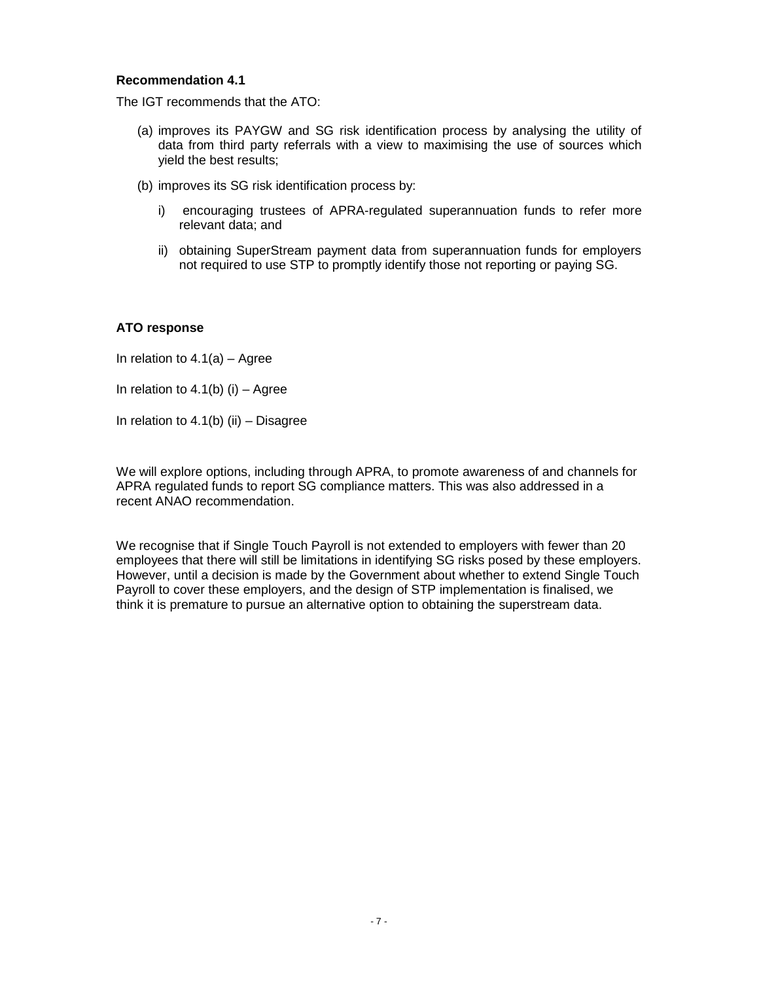The IGT recommends that the ATO:

- (a) improves its PAYGW and SG risk identification process by analysing the utility of data from third party referrals with a view to maximising the use of sources which yield the best results;
- (b) improves its SG risk identification process by:
	- i) encouraging trustees of APRA-regulated superannuation funds to refer more relevant data; and
	- ii) obtaining SuperStream payment data from superannuation funds for employers not required to use STP to promptly identify those not reporting or paying SG.

#### **ATO response**

In relation to  $4.1(a)$  – Agree

In relation to  $4.1(b)$  (i) – Agree

In relation to  $4.1(b)$  (ii) – Disagree

We will explore options, including through APRA, to promote awareness of and channels for APRA regulated funds to report SG compliance matters. This was also addressed in a recent ANAO recommendation.

We recognise that if Single Touch Payroll is not extended to employers with fewer than 20 employees that there will still be limitations in identifying SG risks posed by these employers. However, until a decision is made by the Government about whether to extend Single Touch Payroll to cover these employers, and the design of STP implementation is finalised, we think it is premature to pursue an alternative option to obtaining the superstream data.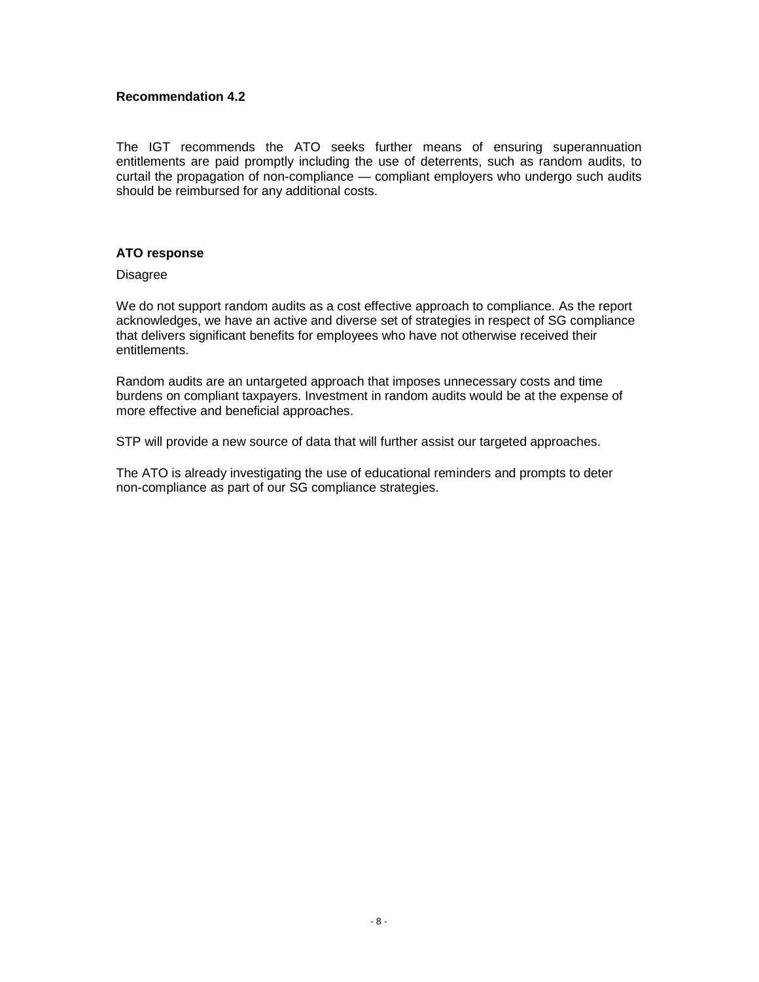The IGT recommends the ATO seeks further means of ensuring superannuation entitlements are paid promptly including the use of deterrents, such as random audits, to curtail the propagation of non-compliance — compliant employers who undergo such audits should be reimbursed for any additional costs.

# **ATO response**

**Disagree** 

We do not support random audits as a cost effective approach to compliance. As the report acknowledges, we have an active and diverse set of strategies in respect of SG compliance that delivers significant benefits for employees who have not otherwise received their entitlements.

Random audits are an untargeted approach that imposes unnecessary costs and time burdens on compliant taxpayers. Investment in random audits would be at the expense of more effective and beneficial approaches.

STP will provide a new source of data that will further assist our targeted approaches.

The ATO is already investigating the use of educational reminders and prompts to deter non-compliance as part of our SG compliance strategies.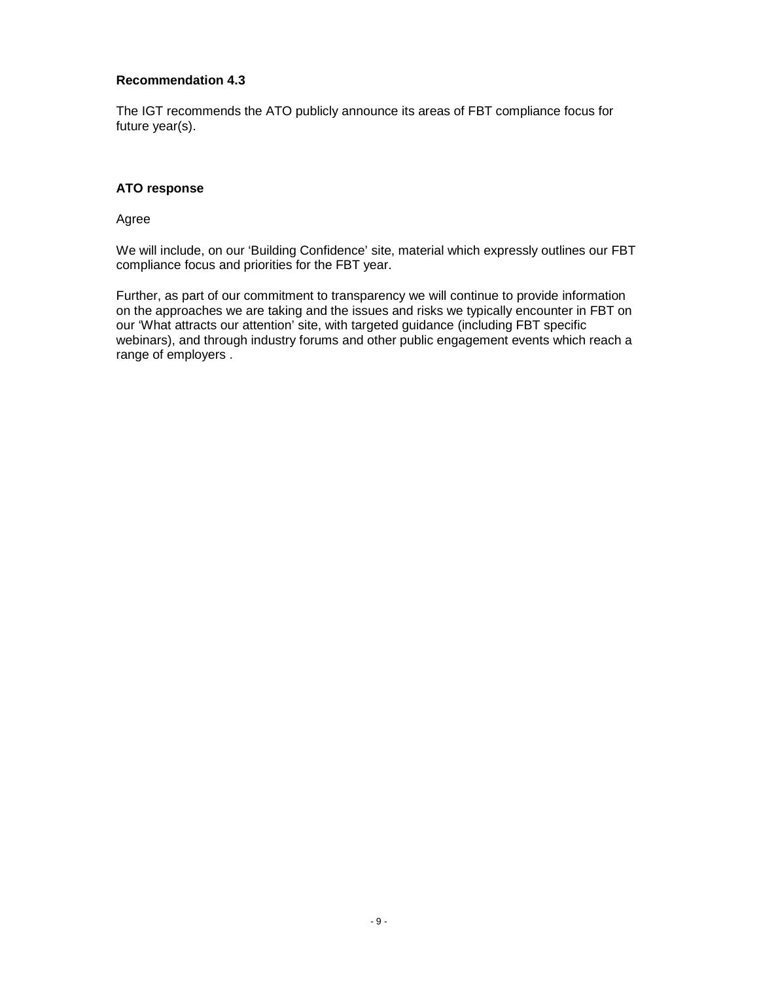The IGT recommends the ATO publicly announce its areas of FBT compliance focus for future year(s).

## **ATO response**

Agree

We will include, on our 'Building Confidence' site, material which expressly outlines our FBT compliance focus and priorities for the FBT year.

Further, as part of our commitment to transparency we will continue to provide information on the approaches we are taking and the issues and risks we typically encounter in FBT on our 'What attracts our attention' site, with targeted guidance (including FBT specific webinars), and through industry forums and other public engagement events which reach a range of employers .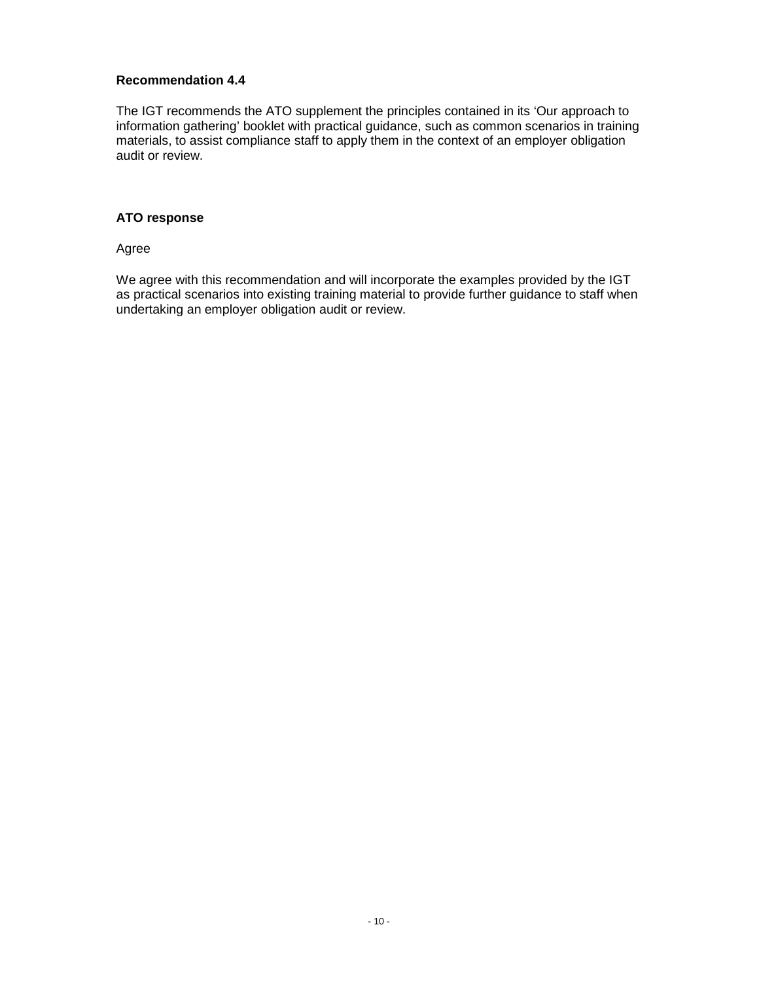The IGT recommends the ATO supplement the principles contained in its 'Our approach to information gathering' booklet with practical guidance, such as common scenarios in training materials, to assist compliance staff to apply them in the context of an employer obligation audit or review.

## **ATO response**

Agree

We agree with this recommendation and will incorporate the examples provided by the IGT as practical scenarios into existing training material to provide further guidance to staff when undertaking an employer obligation audit or review.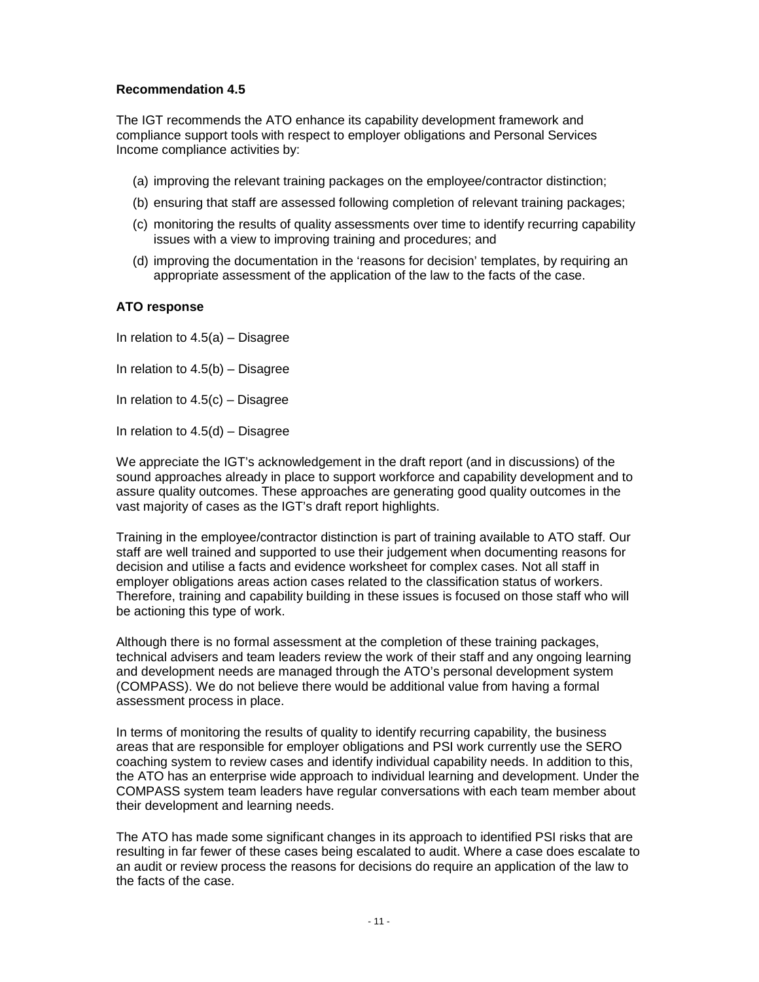The IGT recommends the ATO enhance its capability development framework and compliance support tools with respect to employer obligations and Personal Services Income compliance activities by:

- (a) improving the relevant training packages on the employee/contractor distinction;
- (b) ensuring that staff are assessed following completion of relevant training packages;
- (c) monitoring the results of quality assessments over time to identify recurring capability issues with a view to improving training and procedures; and
- (d) improving the documentation in the 'reasons for decision' templates, by requiring an appropriate assessment of the application of the law to the facts of the case.

#### **ATO response**

In relation to  $4.5(a)$  – Disagree

In relation to  $4.5(b)$  – Disagree

In relation to  $4.5(c)$  – Disagree

In relation to 4.5(d) – Disagree

We appreciate the IGT's acknowledgement in the draft report (and in discussions) of the sound approaches already in place to support workforce and capability development and to assure quality outcomes. These approaches are generating good quality outcomes in the vast majority of cases as the IGT's draft report highlights.

Training in the employee/contractor distinction is part of training available to ATO staff. Our staff are well trained and supported to use their judgement when documenting reasons for decision and utilise a facts and evidence worksheet for complex cases. Not all staff in employer obligations areas action cases related to the classification status of workers. Therefore, training and capability building in these issues is focused on those staff who will be actioning this type of work.

Although there is no formal assessment at the completion of these training packages, technical advisers and team leaders review the work of their staff and any ongoing learning and development needs are managed through the ATO's personal development system (COMPASS). We do not believe there would be additional value from having a formal assessment process in place.

In terms of monitoring the results of quality to identify recurring capability, the business areas that are responsible for employer obligations and PSI work currently use the SERO coaching system to review cases and identify individual capability needs. In addition to this, the ATO has an enterprise wide approach to individual learning and development. Under the COMPASS system team leaders have regular conversations with each team member about their development and learning needs.

The ATO has made some significant changes in its approach to identified PSI risks that are resulting in far fewer of these cases being escalated to audit. Where a case does escalate to an audit or review process the reasons for decisions do require an application of the law to the facts of the case.